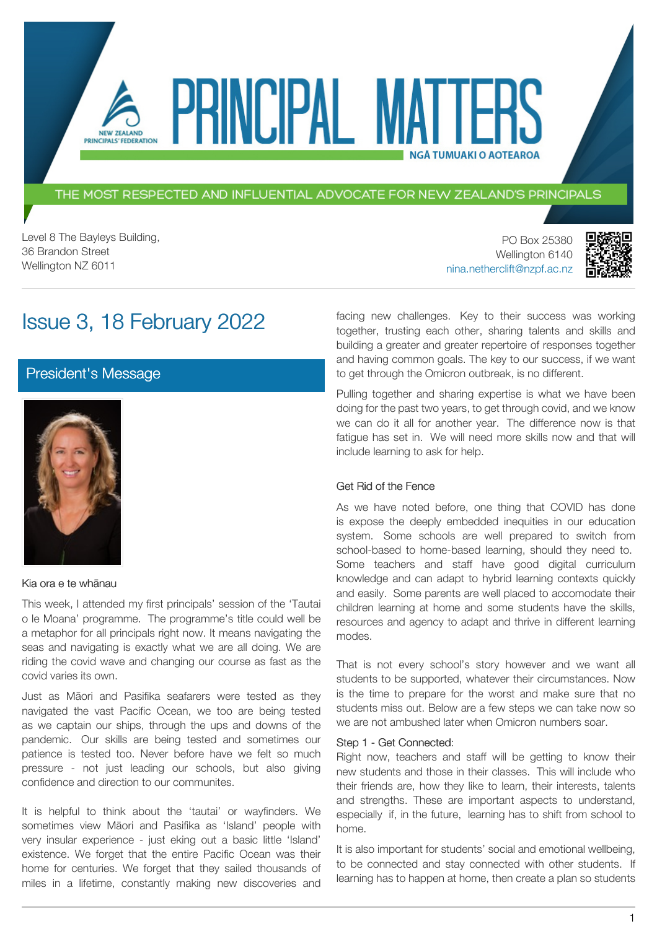THE MOST RESPECTED AND INFLUENTIAL ADVOCATE FOR NEW ZEALAND'S PRINCIPALS

PRINCIPAI MAT

Level 8 The Bayleys Building, 36 Brandon Street Wellington NZ 6011

NEW ZEALAND PRINCIPALS' FEDERATION

# Issue 3, 18 February 2022

[President's Message](https://nzpf.schoolzineplus.com/newsletter/article/487?skin=1)



Kia ora e te whānau

This week, I attended my first principals' session of the 'Tautai o le Moana' programme. The programme's title could well be a metaphor for all principals right now. It means navigating the seas and navigating is exactly what we are all doing. We are riding the covid wave and changing our course as fast as the covid varies its own.

Just as Māori and Pasifika seafarers were tested as they navigated the vast Pacific Ocean, we too are being tested as we captain our ships, through the ups and downs of the pandemic. Our skills are being tested and sometimes our patience is tested too. Never before have we felt so much pressure - not just leading our schools, but also giving confidence and direction to our communites.

It is helpful to think about the 'tautai' or wayfinders. We sometimes view Māori and Pasifika as 'Island' people with very insular experience - just eking out a basic little 'Island' existence. We forget that the entire Pacific Ocean was their home for centuries. We forget that they sailed thousands of miles in a lifetime, constantly making new discoveries and

PO Box 25380 Wellington 6140 [nina.netherclift@nzpf.ac.nz](mailto:mailto:nina.netherclift@nzpf.ac.nz)



facing new challenges. Key to their success was working together, trusting each other, sharing talents and skills and building a greater and greater repertoire of responses together and having common goals. The key to our success, if we want to get through the Omicron outbreak, is no different.

**NGÅ TUMUAKI O AOTEAROA** 

Pulling together and sharing expertise is what we have been doing for the past two years, to get through covid, and we know we can do it all for another year. The difference now is that fatigue has set in. We will need more skills now and that will include learning to ask for help.

#### Get Rid of the Fence

As we have noted before, one thing that COVID has done is expose the deeply embedded inequities in our education system. Some schools are well prepared to switch from school-based to home-based learning, should they need to. Some teachers and staff have good digital curriculum knowledge and can adapt to hybrid learning contexts quickly and easily. Some parents are well placed to accomodate their children learning at home and some students have the skills, resources and agency to adapt and thrive in different learning modes.

That is not every school's story however and we want all students to be supported, whatever their circumstances. Now is the time to prepare for the worst and make sure that no students miss out. Below are a few steps we can take now so we are not ambushed later when Omicron numbers soar.

#### Step 1 - Get Connected:

Right now, teachers and staff will be getting to know their new students and those in their classes. This will include who their friends are, how they like to learn, their interests, talents and strengths. These are important aspects to understand, especially if, in the future, learning has to shift from school to home.

It is also important for students' social and emotional wellbeing, to be connected and stay connected with other students. If learning has to happen at home, then create a plan so students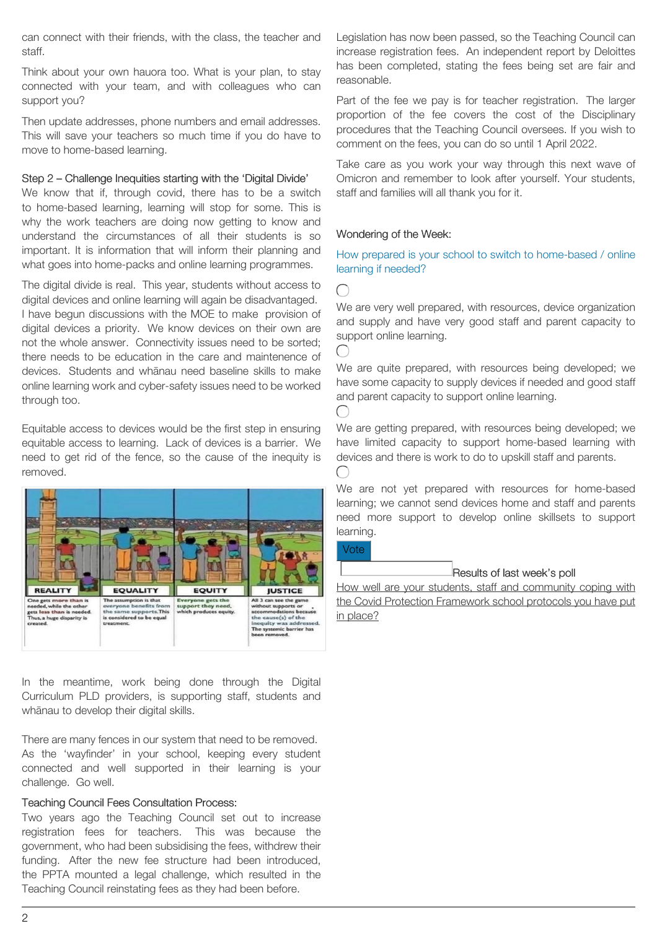can connect with their friends, with the class, the teacher and staff.

Think about your own hauora too. What is your plan, to stay connected with your team, and with colleagues who can support you?

Then update addresses, phone numbers and email addresses. This will save your teachers so much time if you do have to move to home-based learning.

#### Step 2 – Challenge Inequities starting with the 'Digital Divide'

We know that if, through covid, there has to be a switch to home-based learning, learning will stop for some. This is why the work teachers are doing now getting to know and understand the circumstances of all their students is so important. It is information that will inform their planning and what goes into home-packs and online learning programmes.

The digital divide is real. This year, students without access to digital devices and online learning will again be disadvantaged. I have begun discussions with the MOE to make provision of digital devices a priority. We know devices on their own are not the whole answer. Connectivity issues need to be sorted; there needs to be education in the care and maintenence of devices. Students and whānau need baseline skills to make online learning work and cyber-safety issues need to be worked through too.

Equitable access to devices would be the first step in ensuring equitable access to learning. Lack of devices is a barrier. We need to get rid of the fence, so the cause of the inequity is removed.



In the meantime, work being done through the Digital Curriculum PLD providers, is supporting staff, students and whānau to develop their digital skills.

There are many fences in our system that need to be removed. As the 'wayfinder' in your school, keeping every student connected and well supported in their learning is your challenge. Go well.

### Teaching Council Fees Consultation Process:

Two years ago the Teaching Council set out to increase registration fees for teachers. This was because the government, who had been subsidising the fees, withdrew their funding. After the new fee structure had been introduced, the PPTA mounted a legal challenge, which resulted in the Teaching Council reinstating fees as they had been before.

Legislation has now been passed, so the Teaching Council can increase registration fees. An independent report by Deloittes has been completed, stating the fees being set are fair and reasonable.

Part of the fee we pay is for teacher registration. The larger proportion of the fee covers the cost of the Disciplinary procedures that the Teaching Council oversees. If you wish to comment on the fees, you can do so until 1 April 2022.

Take care as you work your way through this next wave of Omicron and remember to look after yourself. Your students, staff and families will all thank you for it.

### Wondering of the Week:

How prepared is your school to switch to home-based / online learning if needed?

 $\bigcap$ 

 $\bigcap$ 

 $\left( \begin{array}{c} \end{array} \right)$ 

We are very well prepared, with resources, device organization and supply and have very good staff and parent capacity to support online learning.

We are quite prepared, with resources being developed; we have some capacity to supply devices if needed and good staff and parent capacity to support online learning.

We are getting prepared, with resources being developed; we have limited capacity to support home-based learning with devices and there is work to do to upskill staff and parents.  $\left( \begin{array}{c} \end{array} \right)$ 

We are not yet prepared with resources for home-based learning; we cannot send devices home and staff and parents need more support to develop online skillsets to support learning.

Vote

#### Results of last week's poll

How well are your students, staff and community coping with the Covid Protection Framework school protocols you have put in place?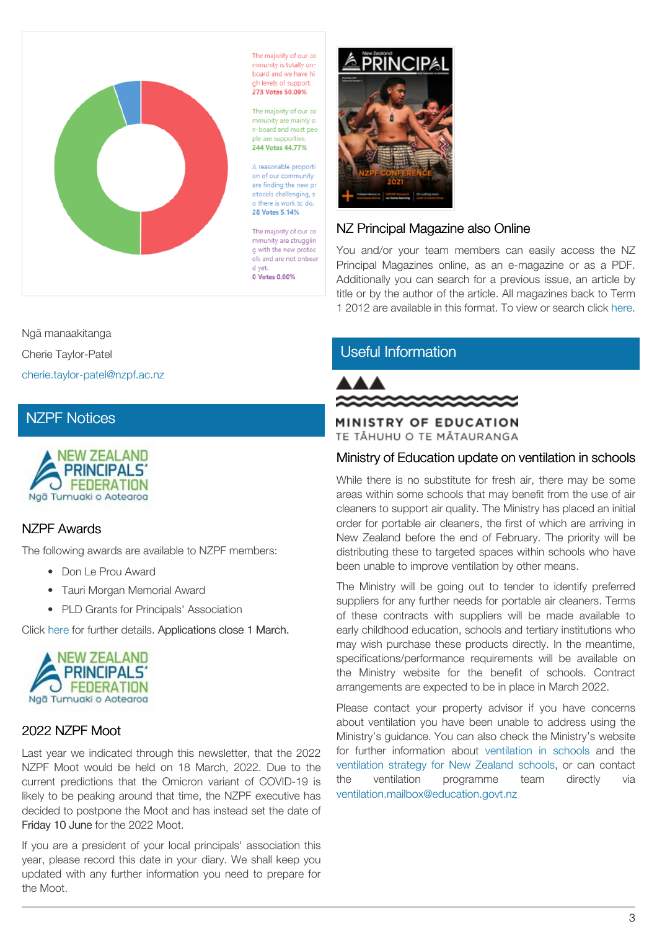

The majority of our co mmunity is totally onboard and we have hi ah levels of support. 273 Votes 50,09%

The majority of our co mmunity are mainly o n-board and most peo ple are supportive 244 Votes 44 77%

A reasonable proporti on of our community are finding the new pr otocols challenging, s o there is work to do 28 Votes 5.14%

The majority of our co mmunity are strugglin g with the new protoc ols and are not onboar d vet.

0 Votes 0.00%



## NZ Principal Magazine also Online

You and/or your team members can easily access the NZ Principal Magazines online, as an e-magazine or as a PDF. Additionally you can search for a previous issue, an article by title or by the author of the article. All magazines back to Term 1 2012 are available in this format. To view or search click [here.](http://nzprincipal.co.nz/view-the-magazine/)

#### Ngā manaakitanga

Cherie Taylor-Patel

[cherie.taylor-patel@nzpf.ac.nz](mailto:cherie.taylor-patel@nzpf.ac.nz)

# [NZPF Notices](https://nzpf.schoolzineplus.com/newsletter/article/488?skin=1)



## NZPF Awards

The following awards are available to NZPF members:

- Don Le Prou Award
- Tauri Morgan Memorial Award
- PLD Grants for Principals' Association

Click [here](https://nzpf.us13.list-manage.com/track/click?u=fa20eca115cfcba6a5e25b02f&id=f36d84b628&e=feb016e9b0) for further details. Applications close 1 March.



## 2022 NZPF Moot

Last year we indicated through this newsletter, that the 2022 NZPF Moot would be held on 18 March, 2022. Due to the current predictions that the Omicron variant of COVID-19 is likely to be peaking around that time, the NZPF executive has decided to postpone the Moot and has instead set the date of Friday 10 June for the 2022 Moot.

If you are a president of your local principals' association this year, please record this date in your diary. We shall keep you updated with any further information you need to prepare for the Moot.

# [Useful Information](https://nzpf.schoolzineplus.com/newsletter/article/489?skin=1)



## MINISTRY OF EDUCATION TE TÂHUHU O TE MÂTAURANGA

## Ministry of Education update on ventilation in schools

While there is no substitute for fresh air, there may be some areas within some schools that may benefit from the use of air cleaners to support air quality. The Ministry has placed an initial order for portable air cleaners, the first of which are arriving in New Zealand before the end of February. The priority will be distributing these to targeted spaces within schools who have been unable to improve ventilation by other means.

The Ministry will be going out to tender to identify preferred suppliers for any further needs for portable air cleaners. Terms of these contracts with suppliers will be made available to early childhood education, schools and tertiary institutions who may wish purchase these products directly. In the meantime, specifications/performance requirements will be available on the Ministry website for the benefit of schools. Contract arrangements are expected to be in place in March 2022.

Please contact your property advisor if you have concerns about ventilation you have been unable to address using the Ministry's guidance. You can also check the Ministry's website for further information about [ventilation](https://www.education.govt.nz/school/property-and-transport/health-and-safety-management/ventilation/) in schools and the [ventilation](https://assets.education.govt.nz/public/Documents/Primary-Secondary/Property/Health-and-Safety/Our-Ventilation-Strategy_02.pdf) strategy for New Zealand schools, or can contact the ventilation programme team directly via [ventilation.mailbox@education.govt.nz](http://mailto:ventilation.mailbox@education.govt.nz)